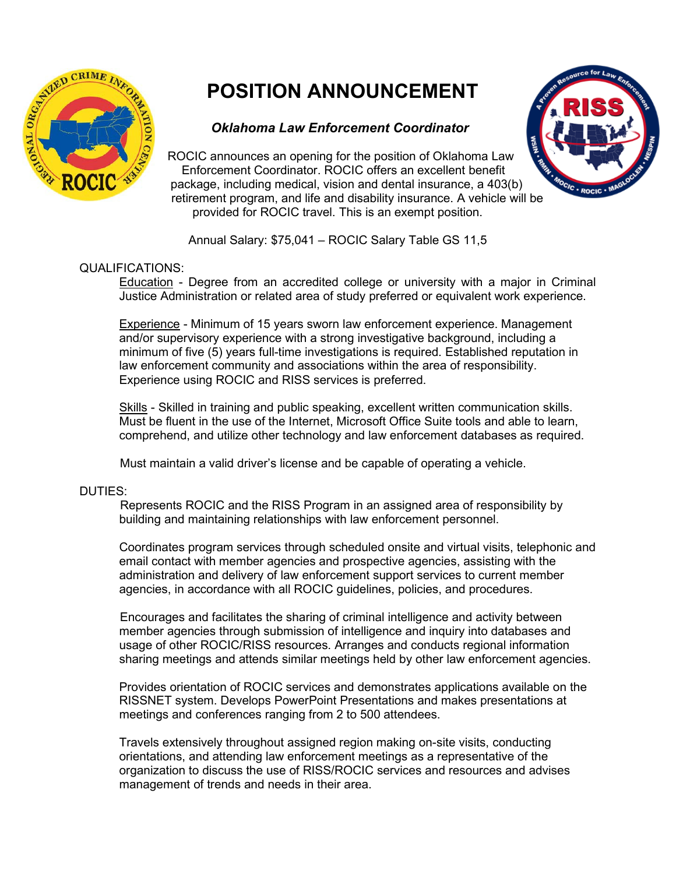

# **POSITION ANNOUNCEMENT**

## *Oklahoma Law Enforcement Coordinator*

ROCIC announces an opening for the position of Oklahoma Law Enforcement Coordinator. ROCIC offers an excellent benefit package, including medical, vision and dental insurance, a 403(b) retirement program, and life and disability insurance. A vehicle will be provided for ROCIC travel. This is an exempt position.



Annual Salary: \$75,041 – ROCIC Salary Table GS 11,5

## QUALIFICATIONS:

Education - Degree from an accredited college or university with a major in Criminal Justice Administration or related area of study preferred or equivalent work experience.

Experience - Minimum of 15 years sworn law enforcement experience. Management and/or supervisory experience with a strong investigative background, including a minimum of five (5) years full-time investigations is required. Established reputation in law enforcement community and associations within the area of responsibility. Experience using ROCIC and RISS services is preferred.

Skills - Skilled in training and public speaking, excellent written communication skills. Must be fluent in the use of the Internet, Microsoft Office Suite tools and able to learn, comprehend, and utilize other technology and law enforcement databases as required.

Must maintain a valid driver's license and be capable of operating a vehicle.

## DUTIES:

 Represents ROCIC and the RISS Program in an assigned area of responsibility by building and maintaining relationships with law enforcement personnel.

Coordinates program services through scheduled onsite and virtual visits, telephonic and email contact with member agencies and prospective agencies, assisting with the administration and delivery of law enforcement support services to current member agencies, in accordance with all ROCIC guidelines, policies, and procedures.

Encourages and facilitates the sharing of criminal intelligence and activity between member agencies through submission of intelligence and inquiry into databases and usage of other ROCIC/RISS resources. Arranges and conducts regional information sharing meetings and attends similar meetings held by other law enforcement agencies.

Provides orientation of ROCIC services and demonstrates applications available on the RISSNET system. Develops PowerPoint Presentations and makes presentations at meetings and conferences ranging from 2 to 500 attendees.

Travels extensively throughout assigned region making on-site visits, conducting orientations, and attending law enforcement meetings as a representative of the organization to discuss the use of RISS/ROCIC services and resources and advises management of trends and needs in their area.